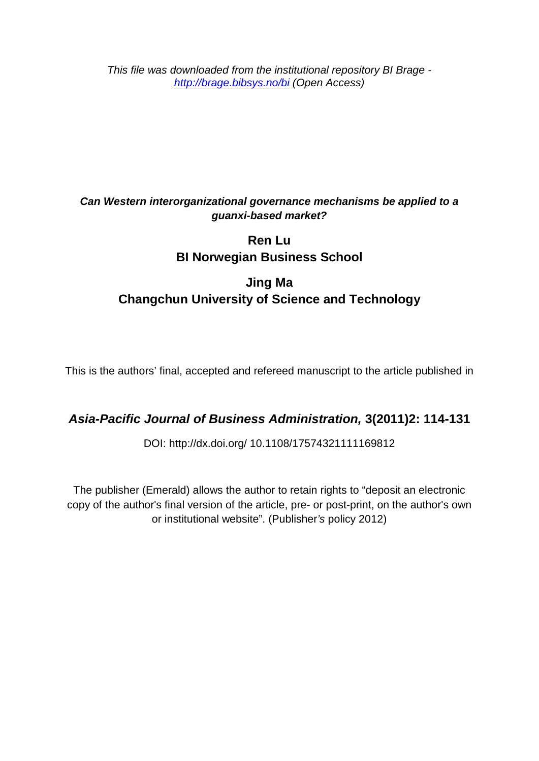*This file was downloaded from the institutional repository BI Brage <http://brage.bibsys.no/bi> (Open Access)*

# *Can Western interorganizational governance mechanisms be applied to a guanxi-based market?*

# **Ren Lu BI Norwegian Business School**

# **Jing Ma Changchun University of Science and Technology**

This is the authors' final, accepted and refereed manuscript to the article published in

# *Asia-Pacific Journal of Business Administration,* **3(2011)2: 114-131**

DOI: http://dx.doi.org/ [10.1108/17574321111169812](http://dx.doi.org/10.1108/17574321111169812)

The publisher (Emerald) allows the author to retain rights to "deposit an electronic copy of the author's final version of the article, pre- or post-print, on the author's own or institutional website". (Publisher*'s* policy 2012)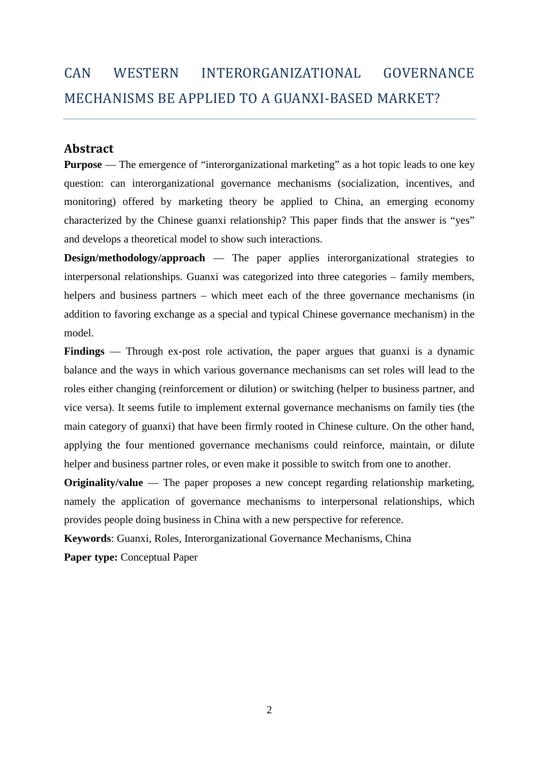# CAN WESTERN INTERORGANIZATIONAL GOVERNANCE MECHANISMS BE APPLIED TO A GUANXI-BASED MARKET?

# **Abstract**

**Purpose** — The emergence of "interorganizational marketing" as a hot topic leads to one key question: can interorganizational governance mechanisms (socialization, incentives, and monitoring) offered by marketing theory be applied to China, an emerging economy characterized by the Chinese guanxi relationship? This paper finds that the answer is "yes" and develops a theoretical model to show such interactions.

**Design/methodology/approach** — The paper applies interorganizational strategies to interpersonal relationships. Guanxi was categorized into three categories – family members, helpers and business partners – which meet each of the three governance mechanisms (in addition to favoring exchange as a special and typical Chinese governance mechanism) in the model.

**Findings** — Through ex-post role activation, the paper argues that guanxi is a dynamic balance and the ways in which various governance mechanisms can set roles will lead to the roles either changing (reinforcement or dilution) or switching (helper to business partner, and vice versa). It seems futile to implement external governance mechanisms on family ties (the main category of guanxi) that have been firmly rooted in Chinese culture. On the other hand, applying the four mentioned governance mechanisms could reinforce, maintain, or dilute helper and business partner roles, or even make it possible to switch from one to another.

**Originality/value** — The paper proposes a new concept regarding relationship marketing, namely the application of governance mechanisms to interpersonal relationships, which provides people doing business in China with a new perspective for reference.

**Keywords**: Guanxi, Roles, Interorganizational Governance Mechanisms, China

**Paper type:** Conceptual Paper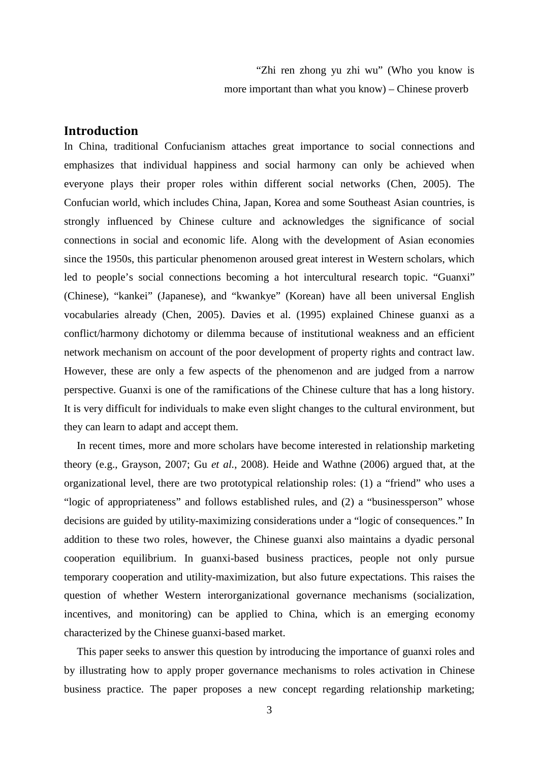"Zhi ren zhong yu zhi wu" (Who you know is more important than what you know) – Chinese proverb

# **Introduction**

In China, traditional Confucianism attaches great importance to social connections and emphasizes that individual happiness and social harmony can only be achieved when everyone plays their proper roles within different social networks (Chen, 2005). The Confucian world, which includes China, Japan, Korea and some Southeast Asian countries, is strongly influenced by Chinese culture and acknowledges the significance of social connections in social and economic life. Along with the development of Asian economies since the 1950s, this particular phenomenon aroused great interest in Western scholars, which led to people's social connections becoming a hot intercultural research topic. "Guanxi" (Chinese), "kankei" (Japanese), and "kwankye" (Korean) have all been universal English vocabularies already (Chen, 2005). Davies et al. (1995) explained Chinese guanxi as a conflict/harmony dichotomy or dilemma because of institutional weakness and an efficient network mechanism on account of the poor development of property rights and contract law. However, these are only a few aspects of the phenomenon and are judged from a narrow perspective. Guanxi is one of the ramifications of the Chinese culture that has a long history. It is very difficult for individuals to make even slight changes to the cultural environment, but they can learn to adapt and accept them.

In recent times, more and more scholars have become interested in relationship marketing theory (e.g., Grayson, 2007; Gu *et al.*, 2008). Heide and Wathne (2006) argued that, at the organizational level, there are two prototypical relationship roles: (1) a "friend" who uses a "logic of appropriateness" and follows established rules, and (2) a "businessperson" whose decisions are guided by utility-maximizing considerations under a "logic of consequences." In addition to these two roles, however, the Chinese guanxi also maintains a dyadic personal cooperation equilibrium. In guanxi-based business practices, people not only pursue temporary cooperation and utility-maximization, but also future expectations. This raises the question of whether Western interorganizational governance mechanisms (socialization, incentives, and monitoring) can be applied to China, which is an emerging economy characterized by the Chinese guanxi-based market.

This paper seeks to answer this question by introducing the importance of guanxi roles and by illustrating how to apply proper governance mechanisms to roles activation in Chinese business practice. The paper proposes a new concept regarding relationship marketing;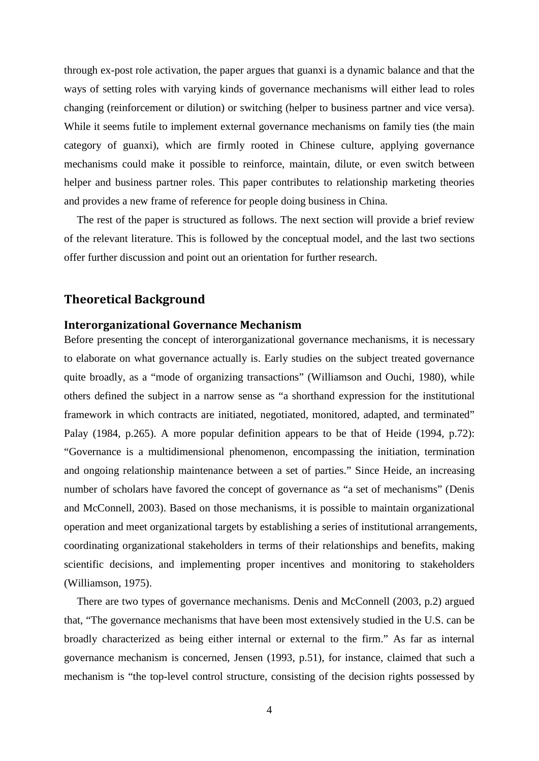through ex-post role activation, the paper argues that guanxi is a dynamic balance and that the ways of setting roles with varying kinds of governance mechanisms will either lead to roles changing (reinforcement or dilution) or switching (helper to business partner and vice versa). While it seems futile to implement external governance mechanisms on family ties (the main category of guanxi), which are firmly rooted in Chinese culture, applying governance mechanisms could make it possible to reinforce, maintain, dilute, or even switch between helper and business partner roles. This paper contributes to relationship marketing theories and provides a new frame of reference for people doing business in China.

The rest of the paper is structured as follows. The next section will provide a brief review of the relevant literature. This is followed by the conceptual model, and the last two sections offer further discussion and point out an orientation for further research.

#### **Theoretical Background**

#### **Interorganizational Governance Mechanism**

Before presenting the concept of interorganizational governance mechanisms, it is necessary to elaborate on what governance actually is. Early studies on the subject treated governance quite broadly, as a "mode of organizing transactions" (Williamson and Ouchi, 1980), while others defined the subject in a narrow sense as "a shorthand expression for the institutional framework in which contracts are initiated, negotiated, monitored, adapted, and terminated" Palay (1984, p.265). A more popular definition appears to be that of Heide (1994, p.72): "Governance is a multidimensional phenomenon, encompassing the initiation, termination and ongoing relationship maintenance between a set of parties." Since Heide, an increasing number of scholars have favored the concept of governance as "a set of mechanisms" (Denis and McConnell, 2003). Based on those mechanisms, it is possible to maintain organizational operation and meet organizational targets by establishing a series of institutional arrangements, coordinating organizational stakeholders in terms of their relationships and benefits, making scientific decisions, and implementing proper incentives and monitoring to stakeholders (Williamson, 1975).

There are two types of governance mechanisms. Denis and McConnell (2003, p.2) argued that, "The governance mechanisms that have been most extensively studied in the U.S. can be broadly characterized as being either internal or external to the firm." As far as internal governance mechanism is concerned, Jensen (1993, p.51), for instance, claimed that such a mechanism is "the top-level control structure, consisting of the decision rights possessed by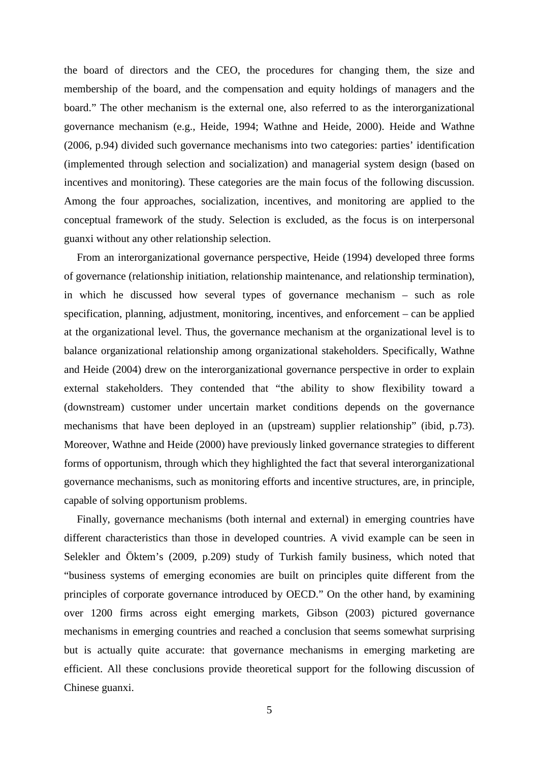the board of directors and the CEO, the procedures for changing them, the size and membership of the board, and the compensation and equity holdings of managers and the board." The other mechanism is the external one, also referred to as the interorganizational governance mechanism (e.g., Heide, 1994; Wathne and Heide, 2000). Heide and Wathne (2006, p.94) divided such governance mechanisms into two categories: parties' identification (implemented through selection and socialization) and managerial system design (based on incentives and monitoring). These categories are the main focus of the following discussion. Among the four approaches, socialization, incentives, and monitoring are applied to the conceptual framework of the study. Selection is excluded, as the focus is on interpersonal guanxi without any other relationship selection.

From an interorganizational governance perspective, Heide (1994) developed three forms of governance (relationship initiation, relationship maintenance, and relationship termination), in which he discussed how several types of governance mechanism – such as role specification, planning, adjustment, monitoring, incentives, and enforcement – can be applied at the organizational level. Thus, the governance mechanism at the organizational level is to balance organizational relationship among organizational stakeholders. Specifically, Wathne and Heide (2004) drew on the interorganizational governance perspective in order to explain external stakeholders. They contended that "the ability to show flexibility toward a (downstream) customer under uncertain market conditions depends on the governance mechanisms that have been deployed in an (upstream) supplier relationship" (ibid, p.73). Moreover, Wathne and Heide (2000) have previously linked governance strategies to different forms of opportunism, through which they highlighted the fact that several interorganizational governance mechanisms, such as monitoring efforts and incentive structures, are, in principle, capable of solving opportunism problems.

Finally, governance mechanisms (both internal and external) in emerging countries have different characteristics than those in developed countries. A vivid example can be seen in Selekler and Öktem's (2009, p.209) study of Turkish family business, which noted that "business systems of emerging economies are built on principles quite different from the principles of corporate governance introduced by OECD." On the other hand, by examining over 1200 firms across eight emerging markets, Gibson (2003) pictured governance mechanisms in emerging countries and reached a conclusion that seems somewhat surprising but is actually quite accurate: that governance mechanisms in emerging marketing are efficient. All these conclusions provide theoretical support for the following discussion of Chinese guanxi.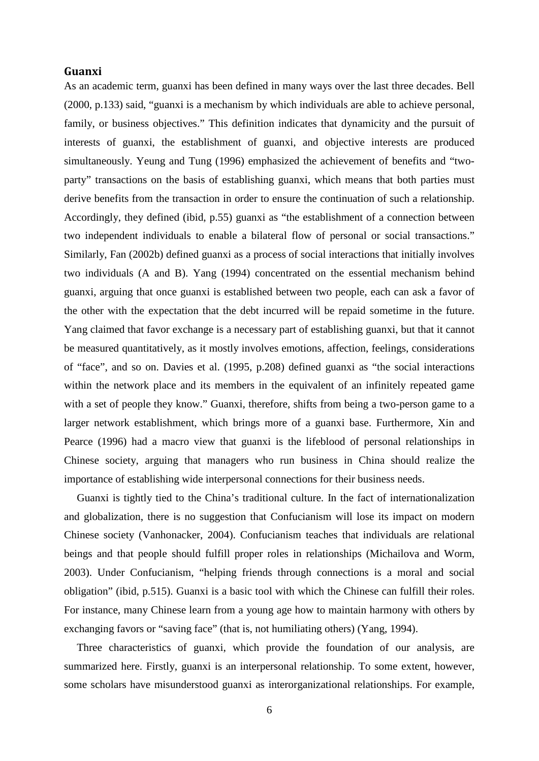#### **Guanxi**

As an academic term, guanxi has been defined in many ways over the last three decades. Bell (2000, p.133) said, "guanxi is a mechanism by which individuals are able to achieve personal, family, or business objectives." This definition indicates that dynamicity and the pursuit of interests of guanxi, the establishment of guanxi, and objective interests are produced simultaneously. Yeung and Tung (1996) emphasized the achievement of benefits and "twoparty" transactions on the basis of establishing guanxi, which means that both parties must derive benefits from the transaction in order to ensure the continuation of such a relationship. Accordingly, they defined (ibid, p.55) guanxi as "the establishment of a connection between two independent individuals to enable a bilateral flow of personal or social transactions." Similarly, Fan (2002b) defined guanxi as a process of social interactions that initially involves two individuals (A and B). Yang (1994) concentrated on the essential mechanism behind guanxi, arguing that once guanxi is established between two people, each can ask a favor of the other with the expectation that the debt incurred will be repaid sometime in the future. Yang claimed that favor exchange is a necessary part of establishing guanxi, but that it cannot be measured quantitatively, as it mostly involves emotions, affection, feelings, considerations of "face", and so on. Davies et al. (1995, p.208) defined guanxi as "the social interactions within the network place and its members in the equivalent of an infinitely repeated game with a set of people they know." Guanxi, therefore, shifts from being a two-person game to a larger network establishment, which brings more of a guanxi base. Furthermore, Xin and Pearce (1996) had a macro view that guanxi is the lifeblood of personal relationships in Chinese society, arguing that managers who run business in China should realize the importance of establishing wide interpersonal connections for their business needs.

Guanxi is tightly tied to the China's traditional culture. In the fact of internationalization and globalization, there is no suggestion that Confucianism will lose its impact on modern Chinese society (Vanhonacker, 2004). Confucianism teaches that individuals are relational beings and that people should fulfill proper roles in relationships (Michailova and Worm, 2003). Under Confucianism, "helping friends through connections is a moral and social obligation" (ibid, p.515). Guanxi is a basic tool with which the Chinese can fulfill their roles. For instance, many Chinese learn from a young age how to maintain harmony with others by exchanging favors or "saving face" (that is, not humiliating others) (Yang, 1994).

Three characteristics of guanxi, which provide the foundation of our analysis, are summarized here. Firstly, guanxi is an interpersonal relationship. To some extent, however, some scholars have misunderstood guanxi as interorganizational relationships. For example,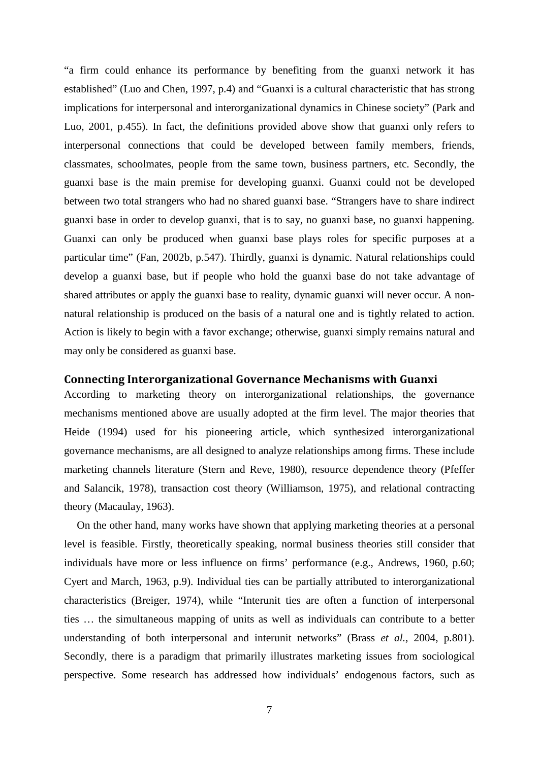"a firm could enhance its performance by benefiting from the guanxi network it has established" (Luo and Chen, 1997, p.4) and "Guanxi is a cultural characteristic that has strong implications for interpersonal and interorganizational dynamics in Chinese society" (Park and Luo, 2001, p.455). In fact, the definitions provided above show that guanxi only refers to interpersonal connections that could be developed between family members, friends, classmates, schoolmates, people from the same town, business partners, etc. Secondly, the guanxi base is the main premise for developing guanxi. Guanxi could not be developed between two total strangers who had no shared guanxi base. "Strangers have to share indirect guanxi base in order to develop guanxi, that is to say, no guanxi base, no guanxi happening. Guanxi can only be produced when guanxi base plays roles for specific purposes at a particular time" (Fan, 2002b, p.547). Thirdly, guanxi is dynamic. Natural relationships could develop a guanxi base, but if people who hold the guanxi base do not take advantage of shared attributes or apply the guanxi base to reality, dynamic guanxi will never occur. A nonnatural relationship is produced on the basis of a natural one and is tightly related to action. Action is likely to begin with a favor exchange; otherwise, guanxi simply remains natural and may only be considered as guanxi base.

#### **Connecting Interorganizational Governance Mechanisms with Guanxi**

According to marketing theory on interorganizational relationships, the governance mechanisms mentioned above are usually adopted at the firm level. The major theories that Heide (1994) used for his pioneering article, which synthesized interorganizational governance mechanisms, are all designed to analyze relationships among firms. These include marketing channels literature (Stern and Reve, 1980), resource dependence theory (Pfeffer and Salancik, 1978), transaction cost theory (Williamson, 1975), and relational contracting theory (Macaulay, 1963).

On the other hand, many works have shown that applying marketing theories at a personal level is feasible. Firstly, theoretically speaking, normal business theories still consider that individuals have more or less influence on firms' performance (e.g., Andrews, 1960, p.60; Cyert and March, 1963, p.9). Individual ties can be partially attributed to interorganizational characteristics (Breiger, 1974), while "Interunit ties are often a function of interpersonal ties … the simultaneous mapping of units as well as individuals can contribute to a better understanding of both interpersonal and interunit networks" (Brass *et al.*, 2004, p.801). Secondly, there is a paradigm that primarily illustrates marketing issues from sociological perspective. Some research has addressed how individuals' endogenous factors, such as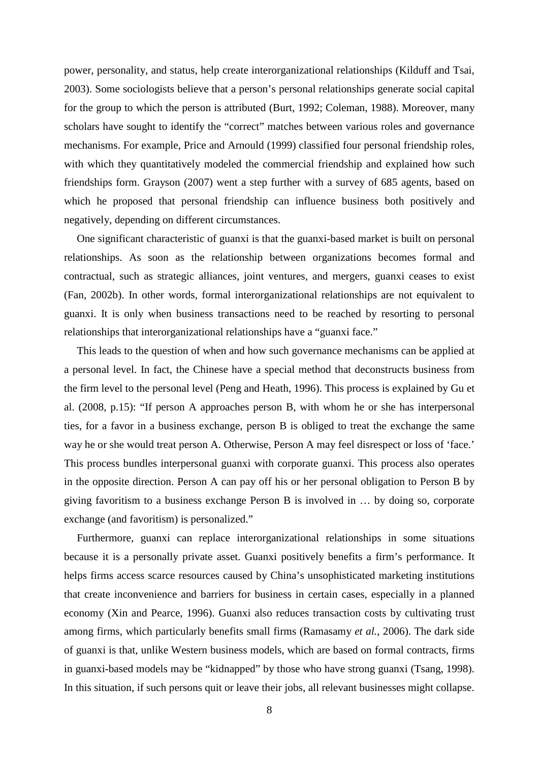power, personality, and status, help create interorganizational relationships (Kilduff and Tsai, 2003). Some sociologists believe that a person's personal relationships generate social capital for the group to which the person is attributed (Burt, 1992; Coleman, 1988). Moreover, many scholars have sought to identify the "correct" matches between various roles and governance mechanisms. For example, Price and Arnould (1999) classified four personal friendship roles, with which they quantitatively modeled the commercial friendship and explained how such friendships form. Grayson (2007) went a step further with a survey of 685 agents, based on which he proposed that personal friendship can influence business both positively and negatively, depending on different circumstances.

One significant characteristic of guanxi is that the guanxi-based market is built on personal relationships. As soon as the relationship between organizations becomes formal and contractual, such as strategic alliances, joint ventures, and mergers, guanxi ceases to exist (Fan, 2002b). In other words, formal interorganizational relationships are not equivalent to guanxi. It is only when business transactions need to be reached by resorting to personal relationships that interorganizational relationships have a "guanxi face."

This leads to the question of when and how such governance mechanisms can be applied at a personal level. In fact, the Chinese have a special method that deconstructs business from the firm level to the personal level (Peng and Heath, 1996). This process is explained by Gu et al. (2008, p.15): "If person A approaches person B, with whom he or she has interpersonal ties, for a favor in a business exchange, person B is obliged to treat the exchange the same way he or she would treat person A. Otherwise, Person A may feel disrespect or loss of 'face.' This process bundles interpersonal guanxi with corporate guanxi. This process also operates in the opposite direction. Person A can pay off his or her personal obligation to Person B by giving favoritism to a business exchange Person B is involved in … by doing so, corporate exchange (and favoritism) is personalized."

Furthermore, guanxi can replace interorganizational relationships in some situations because it is a personally private asset. Guanxi positively benefits a firm's performance. It helps firms access scarce resources caused by China's unsophisticated marketing institutions that create inconvenience and barriers for business in certain cases, especially in a planned economy (Xin and Pearce, 1996). Guanxi also reduces transaction costs by cultivating trust among firms, which particularly benefits small firms (Ramasamy *et al.*, 2006). The dark side of guanxi is that, unlike Western business models, which are based on formal contracts, firms in guanxi-based models may be "kidnapped" by those who have strong guanxi (Tsang, 1998). In this situation, if such persons quit or leave their jobs, all relevant businesses might collapse.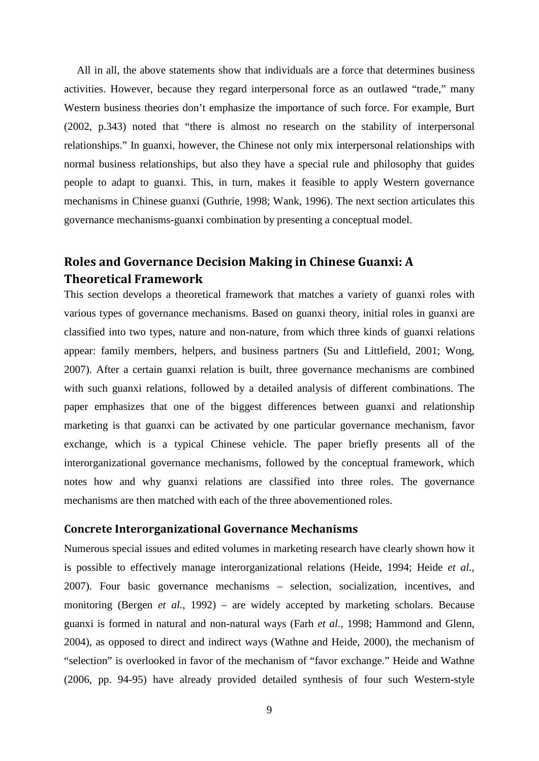All in all, the above statements show that individuals are a force that determines business activities. However, because they regard interpersonal force as an outlawed "trade," many Western business theories don't emphasize the importance of such force. For example, Burt (2002, p.343) noted that "there is almost no research on the stability of interpersonal relationships." In guanxi, however, the Chinese not only mix interpersonal relationships with normal business relationships, but also they have a special rule and philosophy that guides people to adapt to guanxi. This, in turn, makes it feasible to apply Western governance mechanisms in Chinese guanxi (Guthrie, 1998; Wank, 1996). The next section articulates this governance mechanisms-guanxi combination by presenting a conceptual model.

# **Roles and Governance Decision Making in Chinese Guanxi: A Theoretical Framework**

This section develops a theoretical framework that matches a variety of guanxi roles with various types of governance mechanisms. Based on guanxi theory, initial roles in guanxi are classified into two types, nature and non-nature, from which three kinds of guanxi relations appear: family members, helpers, and business partners (Su and Littlefield, 2001; Wong, 2007). After a certain guanxi relation is built, three governance mechanisms are combined with such guanxi relations, followed by a detailed analysis of different combinations. The paper emphasizes that one of the biggest differences between guanxi and relationship marketing is that guanxi can be activated by one particular governance mechanism, favor exchange, which is a typical Chinese vehicle. The paper briefly presents all of the interorganizational governance mechanisms, followed by the conceptual framework, which notes how and why guanxi relations are classified into three roles. The governance mechanisms are then matched with each of the three abovementioned roles.

## **Concrete Interorganizational Governance Mechanisms**

Numerous special issues and edited volumes in marketing research have clearly shown how it is possible to effectively manage interorganizational relations (Heide, 1994; Heide *et al.*, 2007). Four basic governance mechanisms – selection, socialization, incentives, and monitoring (Bergen *et al.*, 1992) – are widely accepted by marketing scholars. Because guanxi is formed in natural and non-natural ways (Farh *et al.*, 1998; Hammond and Glenn, 2004), as opposed to direct and indirect ways (Wathne and Heide, 2000), the mechanism of "selection" is overlooked in favor of the mechanism of "favor exchange." Heide and Wathne (2006, pp. 94-95) have already provided detailed synthesis of four such Western-style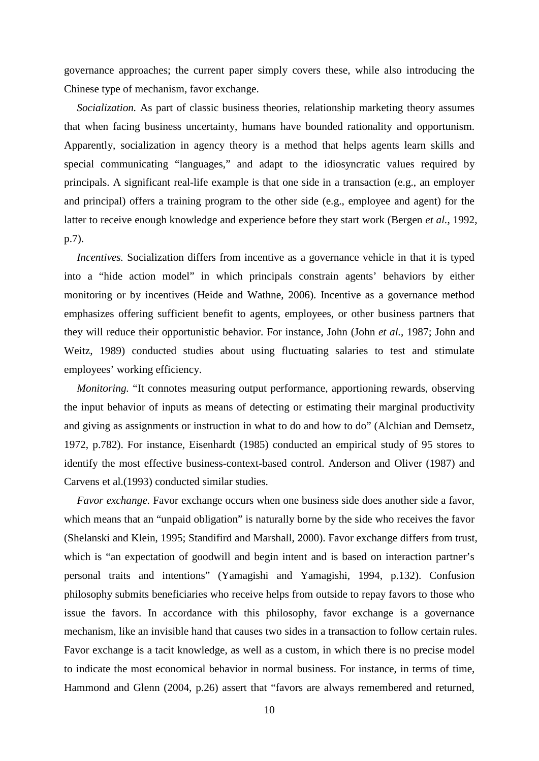governance approaches; the current paper simply covers these, while also introducing the Chinese type of mechanism, favor exchange.

*Socialization.* As part of classic business theories, relationship marketing theory assumes that when facing business uncertainty, humans have bounded rationality and opportunism. Apparently, socialization in agency theory is a method that helps agents learn skills and special communicating "languages," and adapt to the idiosyncratic values required by principals. A significant real-life example is that one side in a transaction (e.g., an employer and principal) offers a training program to the other side (e.g., employee and agent) for the latter to receive enough knowledge and experience before they start work (Bergen *et al.*, 1992, p.7).

*Incentives.* Socialization differs from incentive as a governance vehicle in that it is typed into a "hide action model" in which principals constrain agents' behaviors by either monitoring or by incentives (Heide and Wathne, 2006). Incentive as a governance method emphasizes offering sufficient benefit to agents, employees, or other business partners that they will reduce their opportunistic behavior. For instance, John (John *et al.*, 1987; John and Weitz, 1989) conducted studies about using fluctuating salaries to test and stimulate employees' working efficiency.

*Monitoring.* "It connotes measuring output performance, apportioning rewards, observing the input behavior of inputs as means of detecting or estimating their marginal productivity and giving as assignments or instruction in what to do and how to do" (Alchian and Demsetz, 1972, p.782). For instance, Eisenhardt (1985) conducted an empirical study of 95 stores to identify the most effective business-context-based control. Anderson and Oliver (1987) and Carvens et al.(1993) conducted similar studies.

*Favor exchange.* Favor exchange occurs when one business side does another side a favor, which means that an "unpaid obligation" is naturally borne by the side who receives the favor (Shelanski and Klein, 1995; Standifird and Marshall, 2000). Favor exchange differs from trust, which is "an expectation of goodwill and begin intent and is based on interaction partner's personal traits and intentions" (Yamagishi and Yamagishi, 1994, p.132). Confusion philosophy submits beneficiaries who receive helps from outside to repay favors to those who issue the favors. In accordance with this philosophy, favor exchange is a governance mechanism, like an invisible hand that causes two sides in a transaction to follow certain rules. Favor exchange is a tacit knowledge, as well as a custom, in which there is no precise model to indicate the most economical behavior in normal business. For instance, in terms of time, Hammond and Glenn (2004, p.26) assert that "favors are always remembered and returned,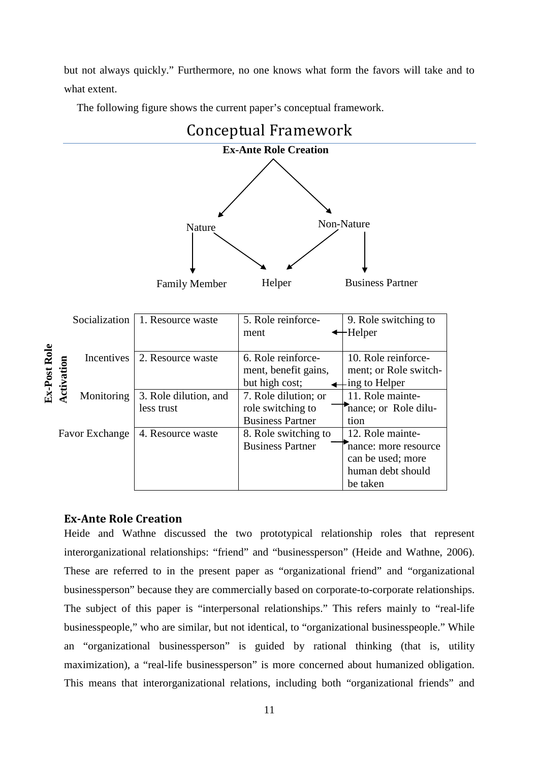but not always quickly." Furthermore, no one knows what form the favors will take and to what extent.

The following figure shows the current paper's conceptual framework.



## **Ex-Ante Role Creation**

Heide and Wathne discussed the two prototypical relationship roles that represent interorganizational relationships: "friend" and "businessperson" (Heide and Wathne, 2006). These are referred to in the present paper as "organizational friend" and "organizational businessperson" because they are commercially based on corporate-to-corporate relationships. The subject of this paper is "interpersonal relationships." This refers mainly to "real-life businesspeople," who are similar, but not identical, to "organizational businesspeople." While an "organizational businessperson" is guided by rational thinking (that is, utility maximization), a "real-life businessperson" is more concerned about humanized obligation. This means that interorganizational relations, including both "organizational friends" and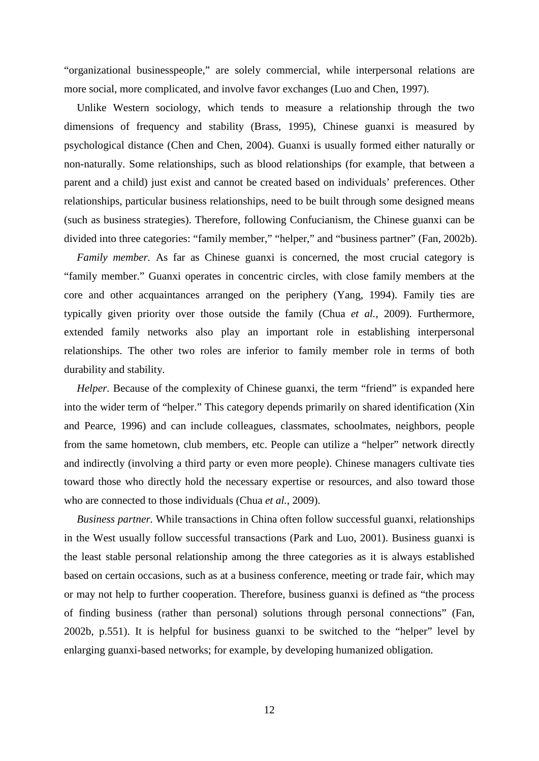"organizational businesspeople," are solely commercial, while interpersonal relations are more social, more complicated, and involve favor exchanges (Luo and Chen, 1997).

Unlike Western sociology, which tends to measure a relationship through the two dimensions of frequency and stability (Brass, 1995), Chinese guanxi is measured by psychological distance (Chen and Chen, 2004). Guanxi is usually formed either naturally or non-naturally. Some relationships, such as blood relationships (for example, that between a parent and a child) just exist and cannot be created based on individuals' preferences. Other relationships, particular business relationships, need to be built through some designed means (such as business strategies). Therefore, following Confucianism, the Chinese guanxi can be divided into three categories: "family member," "helper," and "business partner" (Fan, 2002b).

*Family member.* As far as Chinese guanxi is concerned, the most crucial category is "family member." Guanxi operates in concentric circles, with close family members at the core and other acquaintances arranged on the periphery (Yang, 1994). Family ties are typically given priority over those outside the family (Chua *et al.*, 2009). Furthermore, extended family networks also play an important role in establishing interpersonal relationships. The other two roles are inferior to family member role in terms of both durability and stability.

*Helper.* Because of the complexity of Chinese guanxi, the term "friend" is expanded here into the wider term of "helper." This category depends primarily on shared identification (Xin and Pearce, 1996) and can include colleagues, classmates, schoolmates, neighbors, people from the same hometown, club members, etc. People can utilize a "helper" network directly and indirectly (involving a third party or even more people). Chinese managers cultivate ties toward those who directly hold the necessary expertise or resources, and also toward those who are connected to those individuals (Chua *et al.*, 2009).

*Business partner.* While transactions in China often follow successful guanxi, relationships in the West usually follow successful transactions (Park and Luo, 2001). Business guanxi is the least stable personal relationship among the three categories as it is always established based on certain occasions, such as at a business conference, meeting or trade fair, which may or may not help to further cooperation. Therefore, business guanxi is defined as "the process of finding business (rather than personal) solutions through personal connections" (Fan, 2002b, p.551). It is helpful for business guanxi to be switched to the "helper" level by enlarging guanxi-based networks; for example, by developing humanized obligation.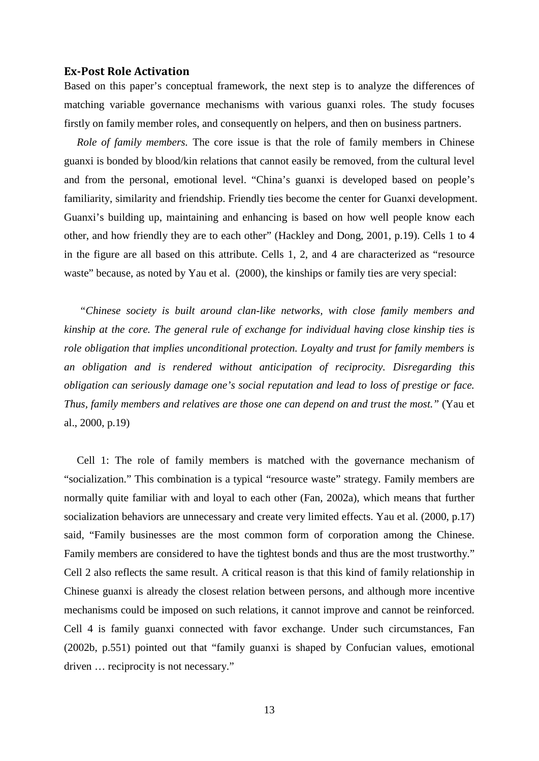#### **Ex-Post Role Activation**

Based on this paper's conceptual framework, the next step is to analyze the differences of matching variable governance mechanisms with various guanxi roles. The study focuses firstly on family member roles, and consequently on helpers, and then on business partners.

*Role of family members.* The core issue is that the role of family members in Chinese guanxi is bonded by blood/kin relations that cannot easily be removed, from the cultural level and from the personal, emotional level. "China's guanxi is developed based on people's familiarity, similarity and friendship. Friendly ties become the center for Guanxi development. Guanxi's building up, maintaining and enhancing is based on how well people know each other, and how friendly they are to each other" (Hackley and Dong, 2001, p.19). Cells 1 to 4 in the figure are all based on this attribute. Cells 1, 2, and 4 are characterized as "resource waste" because, as noted by Yau et al. (2000), the kinships or family ties are very special:

*"Chinese society is built around clan-like networks, with close family members and kinship at the core. The general rule of exchange for individual having close kinship ties is role obligation that implies unconditional protection. Loyalty and trust for family members is an obligation and is rendered without anticipation of reciprocity. Disregarding this obligation can seriously damage one's social reputation and lead to loss of prestige or face. Thus, family members and relatives are those one can depend on and trust the most."* (Yau et al., 2000, p.19)

Cell 1: The role of family members is matched with the governance mechanism of "socialization." This combination is a typical "resource waste" strategy. Family members are normally quite familiar with and loyal to each other (Fan, 2002a), which means that further socialization behaviors are unnecessary and create very limited effects. Yau et al. (2000, p.17) said, "Family businesses are the most common form of corporation among the Chinese. Family members are considered to have the tightest bonds and thus are the most trustworthy." Cell 2 also reflects the same result. A critical reason is that this kind of family relationship in Chinese guanxi is already the closest relation between persons, and although more incentive mechanisms could be imposed on such relations, it cannot improve and cannot be reinforced. Cell 4 is family guanxi connected with favor exchange. Under such circumstances, Fan (2002b, p.551) pointed out that "family guanxi is shaped by Confucian values, emotional driven … reciprocity is not necessary."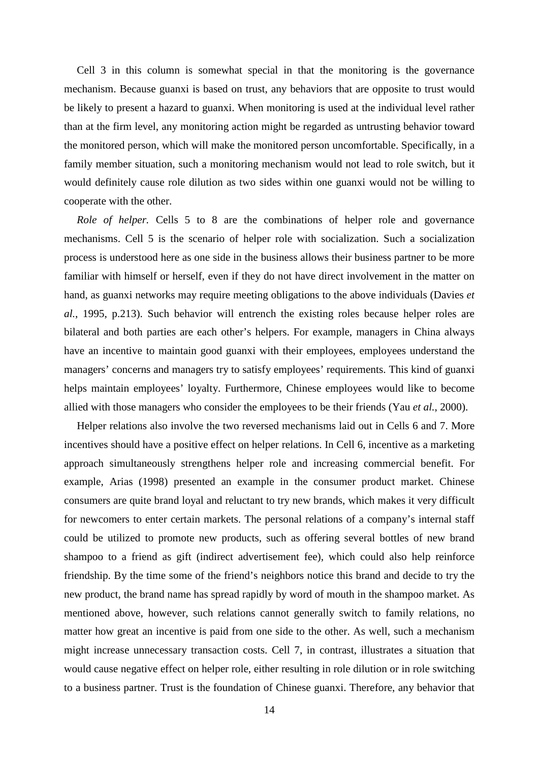Cell 3 in this column is somewhat special in that the monitoring is the governance mechanism. Because guanxi is based on trust, any behaviors that are opposite to trust would be likely to present a hazard to guanxi. When monitoring is used at the individual level rather than at the firm level, any monitoring action might be regarded as untrusting behavior toward the monitored person, which will make the monitored person uncomfortable. Specifically, in a family member situation, such a monitoring mechanism would not lead to role switch, but it would definitely cause role dilution as two sides within one guanxi would not be willing to cooperate with the other.

*Role of helper.* Cells 5 to 8 are the combinations of helper role and governance mechanisms. Cell 5 is the scenario of helper role with socialization. Such a socialization process is understood here as one side in the business allows their business partner to be more familiar with himself or herself, even if they do not have direct involvement in the matter on hand, as guanxi networks may require meeting obligations to the above individuals (Davies *et al.*, 1995, p.213). Such behavior will entrench the existing roles because helper roles are bilateral and both parties are each other's helpers. For example, managers in China always have an incentive to maintain good guanxi with their employees, employees understand the managers' concerns and managers try to satisfy employees' requirements. This kind of guanxi helps maintain employees' loyalty. Furthermore, Chinese employees would like to become allied with those managers who consider the employees to be their friends (Yau *et al.*, 2000).

Helper relations also involve the two reversed mechanisms laid out in Cells 6 and 7. More incentives should have a positive effect on helper relations. In Cell 6, incentive as a marketing approach simultaneously strengthens helper role and increasing commercial benefit. For example, Arias (1998) presented an example in the consumer product market. Chinese consumers are quite brand loyal and reluctant to try new brands, which makes it very difficult for newcomers to enter certain markets. The personal relations of a company's internal staff could be utilized to promote new products, such as offering several bottles of new brand shampoo to a friend as gift (indirect advertisement fee), which could also help reinforce friendship. By the time some of the friend's neighbors notice this brand and decide to try the new product, the brand name has spread rapidly by word of mouth in the shampoo market. As mentioned above, however, such relations cannot generally switch to family relations, no matter how great an incentive is paid from one side to the other. As well, such a mechanism might increase unnecessary transaction costs. Cell 7, in contrast, illustrates a situation that would cause negative effect on helper role, either resulting in role dilution or in role switching to a business partner. Trust is the foundation of Chinese guanxi. Therefore, any behavior that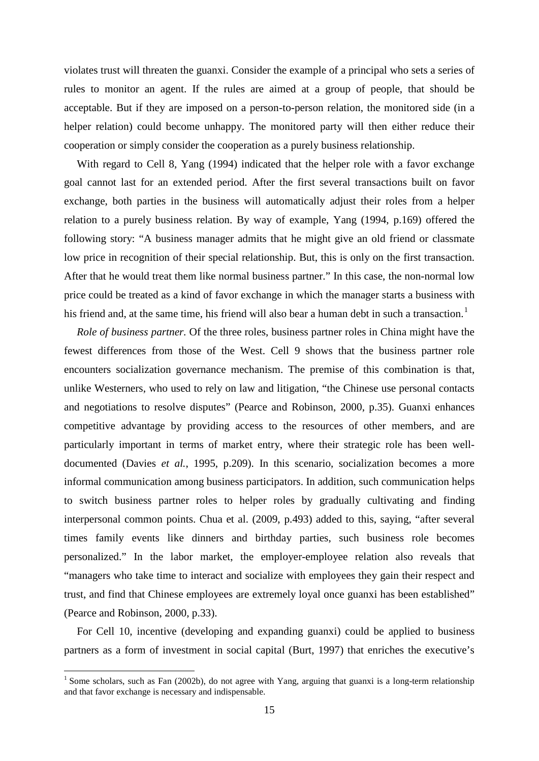violates trust will threaten the guanxi. Consider the example of a principal who sets a series of rules to monitor an agent. If the rules are aimed at a group of people, that should be acceptable. But if they are imposed on a person-to-person relation, the monitored side (in a helper relation) could become unhappy. The monitored party will then either reduce their cooperation or simply consider the cooperation as a purely business relationship.

With regard to Cell 8, Yang (1994) indicated that the helper role with a favor exchange goal cannot last for an extended period. After the first several transactions built on favor exchange, both parties in the business will automatically adjust their roles from a helper relation to a purely business relation. By way of example, Yang (1994, p.169) offered the following story: "A business manager admits that he might give an old friend or classmate low price in recognition of their special relationship. But, this is only on the first transaction. After that he would treat them like normal business partner." In this case, the non-normal low price could be treated as a kind of favor exchange in which the manager starts a business with his friend and, at the same time, his friend will also bear a human debt in such a transaction.<sup>[1](#page-14-0)</sup>

*Role of business partner.* Of the three roles, business partner roles in China might have the fewest differences from those of the West. Cell 9 shows that the business partner role encounters socialization governance mechanism. The premise of this combination is that, unlike Westerners, who used to rely on law and litigation, "the Chinese use personal contacts and negotiations to resolve disputes" (Pearce and Robinson, 2000, p.35). Guanxi enhances competitive advantage by providing access to the resources of other members, and are particularly important in terms of market entry, where their strategic role has been welldocumented (Davies *et al.*, 1995, p.209). In this scenario, socialization becomes a more informal communication among business participators. In addition, such communication helps to switch business partner roles to helper roles by gradually cultivating and finding interpersonal common points. Chua et al. (2009, p.493) added to this, saying, "after several times family events like dinners and birthday parties, such business role becomes personalized." In the labor market, the employer-employee relation also reveals that "managers who take time to interact and socialize with employees they gain their respect and trust, and find that Chinese employees are extremely loyal once guanxi has been established" (Pearce and Robinson, 2000, p.33).

For Cell 10, incentive (developing and expanding guanxi) could be applied to business partners as a form of investment in social capital (Burt, 1997) that enriches the executive's

<span id="page-14-0"></span><sup>&</sup>lt;sup>1</sup> Some scholars, such as Fan (2002b), do not agree with Yang, arguing that guanxi is a long-term relationship and that favor exchange is necessary and indispensable.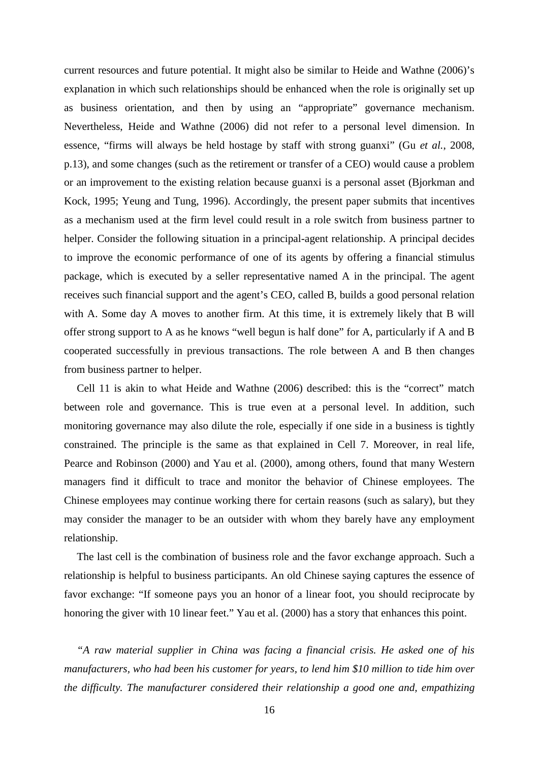current resources and future potential. It might also be similar to Heide and Wathne (2006)'s explanation in which such relationships should be enhanced when the role is originally set up as business orientation, and then by using an "appropriate" governance mechanism. Nevertheless, Heide and Wathne (2006) did not refer to a personal level dimension. In essence, "firms will always be held hostage by staff with strong guanxi" (Gu *et al.*, 2008, p.13), and some changes (such as the retirement or transfer of a CEO) would cause a problem or an improvement to the existing relation because guanxi is a personal asset (Bjorkman and Kock, 1995; Yeung and Tung, 1996). Accordingly, the present paper submits that incentives as a mechanism used at the firm level could result in a role switch from business partner to helper. Consider the following situation in a principal-agent relationship. A principal decides to improve the economic performance of one of its agents by offering a financial stimulus package, which is executed by a seller representative named A in the principal. The agent receives such financial support and the agent's CEO, called B, builds a good personal relation with A. Some day A moves to another firm. At this time, it is extremely likely that B will offer strong support to A as he knows "well begun is half done" for A, particularly if A and B cooperated successfully in previous transactions. The role between A and B then changes from business partner to helper.

Cell 11 is akin to what Heide and Wathne (2006) described: this is the "correct" match between role and governance. This is true even at a personal level. In addition, such monitoring governance may also dilute the role, especially if one side in a business is tightly constrained. The principle is the same as that explained in Cell 7. Moreover, in real life, Pearce and Robinson (2000) and Yau et al. (2000), among others, found that many Western managers find it difficult to trace and monitor the behavior of Chinese employees. The Chinese employees may continue working there for certain reasons (such as salary), but they may consider the manager to be an outsider with whom they barely have any employment relationship.

The last cell is the combination of business role and the favor exchange approach. Such a relationship is helpful to business participants. An old Chinese saying captures the essence of favor exchange: "If someone pays you an honor of a linear foot, you should reciprocate by honoring the giver with 10 linear feet." Yau et al. (2000) has a story that enhances this point.

*"A raw material supplier in China was facing a financial crisis. He asked one of his manufacturers, who had been his customer for years, to lend him \$10 million to tide him over the difficulty. The manufacturer considered their relationship a good one and, empathizing*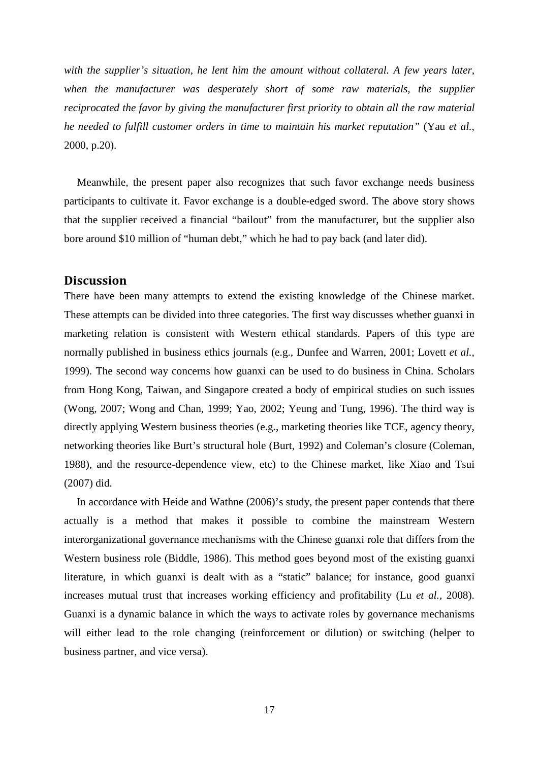with the supplier's situation, he lent him the amount without collateral. A few years later, when the manufacturer was desperately short of some raw materials, the supplier *reciprocated the favor by giving the manufacturer first priority to obtain all the raw material he needed to fulfill customer orders in time to maintain his market reputation"* (Yau *et al.*, 2000, p.20).

Meanwhile, the present paper also recognizes that such favor exchange needs business participants to cultivate it. Favor exchange is a double-edged sword. The above story shows that the supplier received a financial "bailout" from the manufacturer, but the supplier also bore around \$10 million of "human debt," which he had to pay back (and later did).

## **Discussion**

There have been many attempts to extend the existing knowledge of the Chinese market. These attempts can be divided into three categories. The first way discusses whether guanxi in marketing relation is consistent with Western ethical standards. Papers of this type are normally published in business ethics journals (e.g., Dunfee and Warren, 2001; Lovett *et al.*, 1999). The second way concerns how guanxi can be used to do business in China. Scholars from Hong Kong, Taiwan, and Singapore created a body of empirical studies on such issues (Wong, 2007; Wong and Chan, 1999; Yao, 2002; Yeung and Tung, 1996). The third way is directly applying Western business theories (e.g., marketing theories like TCE, agency theory, networking theories like Burt's structural hole (Burt, 1992) and Coleman's closure (Coleman, 1988), and the resource-dependence view, etc) to the Chinese market, like Xiao and Tsui (2007) did.

In accordance with Heide and Wathne (2006)'s study, the present paper contends that there actually is a method that makes it possible to combine the mainstream Western interorganizational governance mechanisms with the Chinese guanxi role that differs from the Western business role (Biddle, 1986). This method goes beyond most of the existing guanxi literature, in which guanxi is dealt with as a "static" balance; for instance, good guanxi increases mutual trust that increases working efficiency and profitability (Lu *et al.*, 2008). Guanxi is a dynamic balance in which the ways to activate roles by governance mechanisms will either lead to the role changing (reinforcement or dilution) or switching (helper to business partner, and vice versa).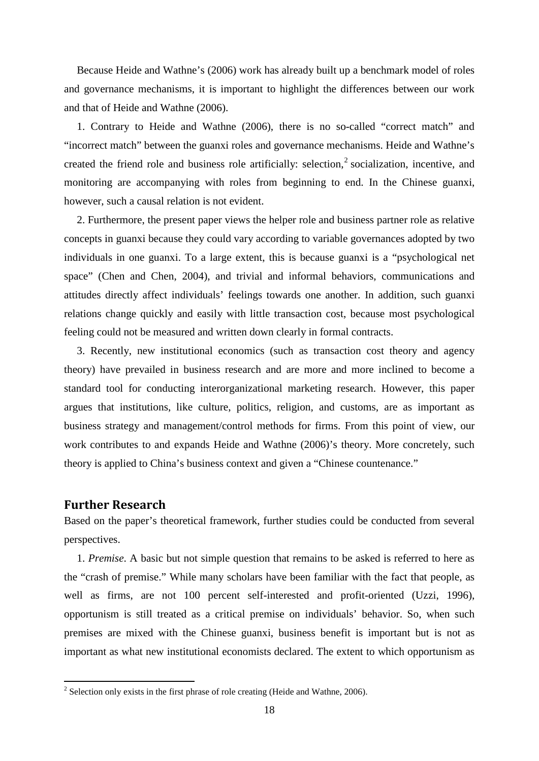Because Heide and Wathne's (2006) work has already built up a benchmark model of roles and governance mechanisms, it is important to highlight the differences between our work and that of Heide and Wathne (2006).

1. Contrary to Heide and Wathne (2006), there is no so-called "correct match" and "incorrect match" between the guanxi roles and governance mechanisms. Heide and Wathne's created the friend role and business role artificially: selection, [2](#page-17-0) socialization, incentive, and monitoring are accompanying with roles from beginning to end. In the Chinese guanxi, however, such a causal relation is not evident.

2. Furthermore, the present paper views the helper role and business partner role as relative concepts in guanxi because they could vary according to variable governances adopted by two individuals in one guanxi. To a large extent, this is because guanxi is a "psychological net space" (Chen and Chen, 2004), and trivial and informal behaviors, communications and attitudes directly affect individuals' feelings towards one another. In addition, such guanxi relations change quickly and easily with little transaction cost, because most psychological feeling could not be measured and written down clearly in formal contracts.

3. Recently, new institutional economics (such as transaction cost theory and agency theory) have prevailed in business research and are more and more inclined to become a standard tool for conducting interorganizational marketing research. However, this paper argues that institutions, like culture, politics, religion, and customs, are as important as business strategy and management/control methods for firms. From this point of view, our work contributes to and expands Heide and Wathne (2006)'s theory. More concretely, such theory is applied to China's business context and given a "Chinese countenance."

## **Further Research**

Based on the paper's theoretical framework, further studies could be conducted from several perspectives.

1. *Premise*. A basic but not simple question that remains to be asked is referred to here as the "crash of premise." While many scholars have been familiar with the fact that people, as well as firms, are not 100 percent self-interested and profit-oriented (Uzzi, 1996), opportunism is still treated as a critical premise on individuals' behavior. So, when such premises are mixed with the Chinese guanxi, business benefit is important but is not as important as what new institutional economists declared. The extent to which opportunism as

<span id="page-17-0"></span> $2$  Selection only exists in the first phrase of role creating (Heide and Wathne, 2006).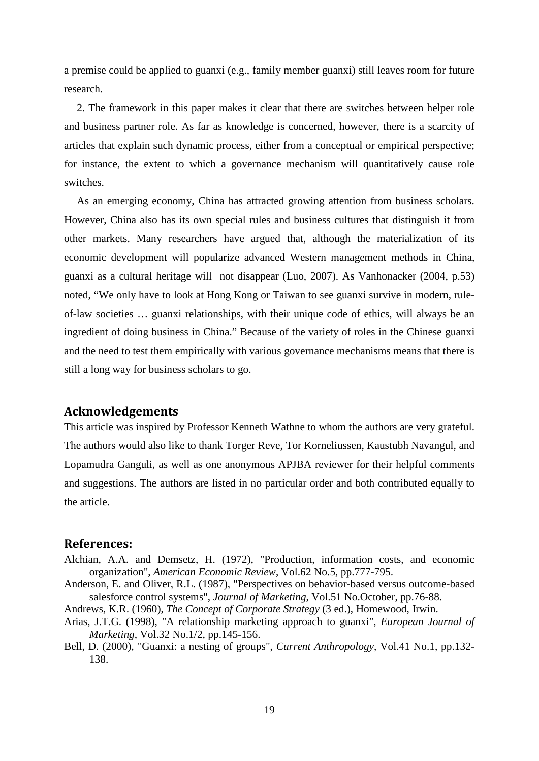a premise could be applied to guanxi (e.g., family member guanxi) still leaves room for future research.

2. The framework in this paper makes it clear that there are switches between helper role and business partner role. As far as knowledge is concerned, however, there is a scarcity of articles that explain such dynamic process, either from a conceptual or empirical perspective; for instance, the extent to which a governance mechanism will quantitatively cause role switches.

As an emerging economy, China has attracted growing attention from business scholars. However, China also has its own special rules and business cultures that distinguish it from other markets. Many researchers have argued that, although the materialization of its economic development will popularize advanced Western management methods in China, guanxi as a cultural heritage will not disappear (Luo, 2007). As Vanhonacker (2004, p.53) noted, "We only have to look at Hong Kong or Taiwan to see guanxi survive in modern, ruleof-law societies … guanxi relationships, with their unique code of ethics, will always be an ingredient of doing business in China." Because of the variety of roles in the Chinese guanxi and the need to test them empirically with various governance mechanisms means that there is still a long way for business scholars to go.

# **Acknowledgements**

This article was inspired by Professor Kenneth Wathne to whom the authors are very grateful. The authors would also like to thank Torger Reve, Tor Korneliussen, Kaustubh Navangul, and Lopamudra Ganguli, as well as one anonymous APJBA reviewer for their helpful comments and suggestions. The authors are listed in no particular order and both contributed equally to the article.

## **References:**

- Alchian, A.A. and Demsetz, H. (1972), "Production, information costs, and economic organization", *American Economic Review*, Vol.62 No.5, pp.777-795.
- Anderson, E. and Oliver, R.L. (1987), "Perspectives on behavior-based versus outcome-based salesforce control systems", *Journal of Marketing*, Vol.51 No.October, pp.76-88.
- Andrews, K.R. (1960), *The Concept of Corporate Strategy* (3 ed.), Homewood, Irwin.
- Arias, J.T.G. (1998), "A relationship marketing approach to guanxi", *European Journal of Marketing*, Vol.32 No.1/2, pp.145-156.
- Bell, D. (2000), "Guanxi: a nesting of groups", *Current Anthropology*, Vol.41 No.1, pp.132- 138.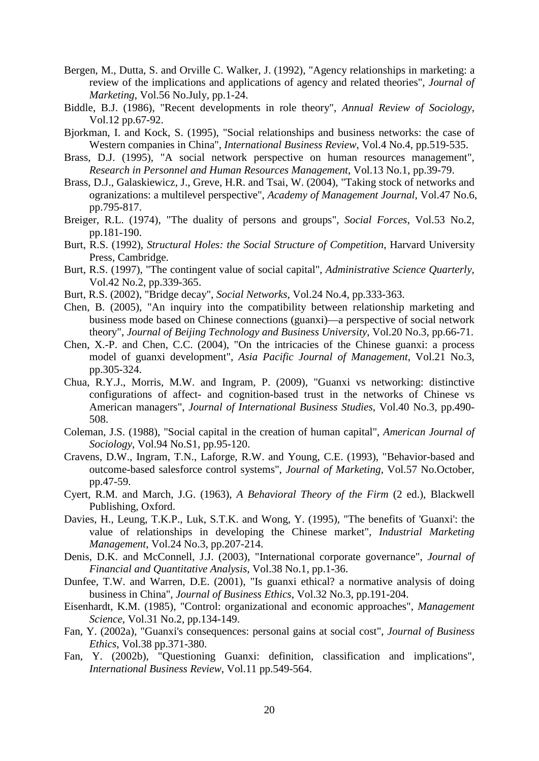- Bergen, M., Dutta, S. and Orville C. Walker, J. (1992), "Agency relationships in marketing: a review of the implications and applications of agency and related theories", *Journal of Marketing*, Vol.56 No.July, pp.1-24.
- Biddle, B.J. (1986), "Recent developments in role theory", *Annual Review of Sociology*, Vol.12 pp.67-92.
- Bjorkman, I. and Kock, S. (1995), "Social relationships and business networks: the case of Western companies in China", *International Business Review*, Vol.4 No.4, pp.519-535.
- Brass, D.J. (1995), "A social network perspective on human resources management", *Research in Personnel and Human Resources Management*, Vol.13 No.1, pp.39-79.
- Brass, D.J., Galaskiewicz, J., Greve, H.R. and Tsai, W. (2004), "Taking stock of networks and ogranizations: a multilevel perspective", *Academy of Management Journal*, Vol.47 No.6, pp.795-817.
- Breiger, R.L. (1974), "The duality of persons and groups", *Social Forces*, Vol.53 No.2, pp.181-190.
- Burt, R.S. (1992), *Structural Holes: the Social Structure of Competition*, Harvard University Press, Cambridge.
- Burt, R.S. (1997), "The contingent value of social capital", *Administrative Science Quarterly*, Vol.42 No.2, pp.339-365.
- Burt, R.S. (2002), "Bridge decay", *Social Networks*, Vol.24 No.4, pp.333-363.
- Chen, B. (2005), "An inquiry into the compatibility between relationship marketing and business mode based on Chinese connections (guanxi)––a perspective of social network theory", *Journal of Beijing Technology and Business University*, Vol.20 No.3, pp.66-71.
- Chen, X.-P. and Chen, C.C. (2004), "On the intricacies of the Chinese guanxi: a process model of guanxi development", *Asia Pacific Journal of Management*, Vol.21 No.3, pp.305-324.
- Chua, R.Y.J., Morris, M.W. and Ingram, P. (2009), "Guanxi vs networking: distinctive configurations of affect- and cognition-based trust in the networks of Chinese vs American managers", *Journal of International Business Studies*, Vol.40 No.3, pp.490- 508.
- Coleman, J.S. (1988), "Social capital in the creation of human capital", *American Journal of Sociology*, Vol.94 No.S1, pp.95-120.
- Cravens, D.W., Ingram, T.N., Laforge, R.W. and Young, C.E. (1993), "Behavior-based and outcome-based salesforce control systems", *Journal of Marketing*, Vol.57 No.October, pp.47-59.
- Cyert, R.M. and March, J.G. (1963), *A Behavioral Theory of the Firm* (2 ed.), Blackwell Publishing, Oxford.
- Davies, H., Leung, T.K.P., Luk, S.T.K. and Wong, Y. (1995), "The benefits of 'Guanxi': the value of relationships in developing the Chinese market", *Industrial Marketing Management*, Vol.24 No.3, pp.207-214.
- Denis, D.K. and McConnell, J.J. (2003), "International corporate governance", *Journal of Financial and Quantitative Analysis*, Vol.38 No.1, pp.1-36.
- Dunfee, T.W. and Warren, D.E. (2001), "Is guanxi ethical? a normative analysis of doing business in China", *Journal of Business Ethics*, Vol.32 No.3, pp.191-204.
- Eisenhardt, K.M. (1985), "Control: organizational and economic approaches", *Management Science*, Vol.31 No.2, pp.134-149.
- Fan, Y. (2002a), "Guanxi's consequences: personal gains at social cost", *Journal of Business Ethics*, Vol.38 pp.371-380.
- Fan, Y. (2002b), "Questioning Guanxi: definition, classification and implications", *International Business Review*, Vol.11 pp.549-564.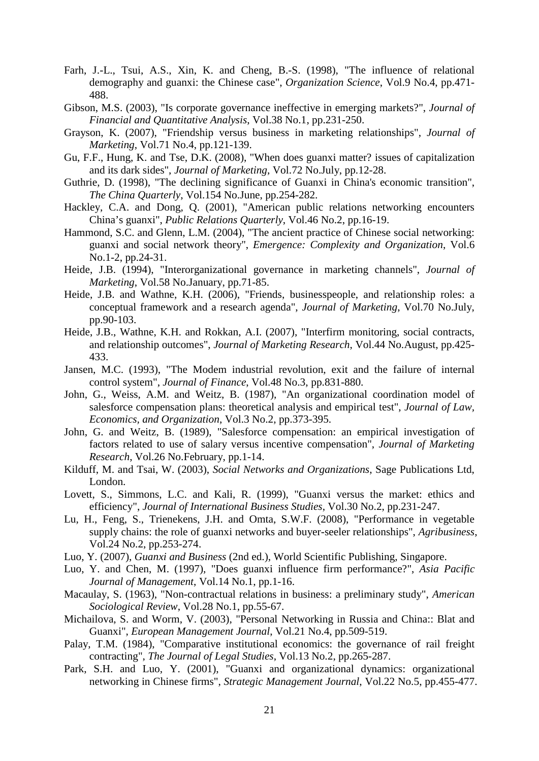- Farh, J.-L., Tsui, A.S., Xin, K. and Cheng, B.-S. (1998), "The influence of relational demography and guanxi: the Chinese case", *Organization Science*, Vol.9 No.4, pp.471- 488.
- Gibson, M.S. (2003), "Is corporate governance ineffective in emerging markets?", *Journal of Financial and Quantitative Analysis*, Vol.38 No.1, pp.231-250.
- Grayson, K. (2007), "Friendship versus business in marketing relationships", *Journal of Marketing*, Vol.71 No.4, pp.121-139.
- Gu, F.F., Hung, K. and Tse, D.K. (2008), "When does guanxi matter? issues of capitalization and its dark sides", *Journal of Marketing*, Vol.72 No.July, pp.12-28.
- Guthrie, D. (1998), "The declining significance of Guanxi in China's economic transition", *The China Quarterly*, Vol.154 No.June, pp.254-282.
- Hackley, C.A. and Dong, Q. (2001), "American public relations networking encounters China's guanxi", *Public Relations Quarterly*, Vol.46 No.2, pp.16-19.
- Hammond, S.C. and Glenn, L.M. (2004), "The ancient practice of Chinese social networking: guanxi and social network theory", *Emergence: Complexity and Organization*, Vol.6 No.1-2, pp.24-31.
- Heide, J.B. (1994), "Interorganizational governance in marketing channels", *Journal of Marketing*, Vol.58 No.January, pp.71-85.
- Heide, J.B. and Wathne, K.H. (2006), "Friends, businesspeople, and relationship roles: a conceptual framework and a research agenda", *Journal of Marketing*, Vol.70 No.July, pp.90-103.
- Heide, J.B., Wathne, K.H. and Rokkan, A.I. (2007), "Interfirm monitoring, social contracts, and relationship outcomes", *Journal of Marketing Research*, Vol.44 No.August, pp.425- 433.
- Jansen, M.C. (1993), "The Modem industrial revolution, exit and the failure of internal control system", *Journal of Finance*, Vol.48 No.3, pp.831-880.
- John, G., Weiss, A.M. and Weitz, B. (1987), "An organizational coordination model of salesforce compensation plans: theoretical analysis and empirical test", *Journal of Law, Economics, and Organization*, Vol.3 No.2, pp.373-395.
- John, G. and Weitz, B. (1989), "Salesforce compensation: an empirical investigation of factors related to use of salary versus incentive compensation", *Journal of Marketing Research*, Vol.26 No.February, pp.1-14.
- Kilduff, M. and Tsai, W. (2003), *Social Networks and Organizations*, Sage Publications Ltd, London.
- Lovett, S., Simmons, L.C. and Kali, R. (1999), "Guanxi versus the market: ethics and efficiency", *Journal of International Business Studies*, Vol.30 No.2, pp.231-247.
- Lu, H., Feng, S., Trienekens, J.H. and Omta, S.W.F. (2008), "Performance in vegetable supply chains: the role of guanxi networks and buyer-seeler relationships", *Agribusiness*, Vol.24 No.2, pp.253-274.
- Luo, Y. (2007), *Guanxi and Business* (2nd ed.), World Scientific Publishing, Singapore.
- Luo, Y. and Chen, M. (1997), "Does guanxi influence firm performance?", *Asia Pacific Journal of Management*, Vol.14 No.1, pp.1-16.
- Macaulay, S. (1963), "Non-contractual relations in business: a preliminary study", *American Sociological Review*, Vol.28 No.1, pp.55-67.
- Michailova, S. and Worm, V. (2003), "Personal Networking in Russia and China:: Blat and Guanxi", *European Management Journal*, Vol.21 No.4, pp.509-519.
- Palay, T.M. (1984), "Comparative institutional economics: the governance of rail freight contracting", *The Journal of Legal Studies*, Vol.13 No.2, pp.265-287.
- Park, S.H. and Luo, Y. (2001), "Guanxi and organizational dynamics: organizational networking in Chinese firms", *Strategic Management Journal*, Vol.22 No.5, pp.455-477.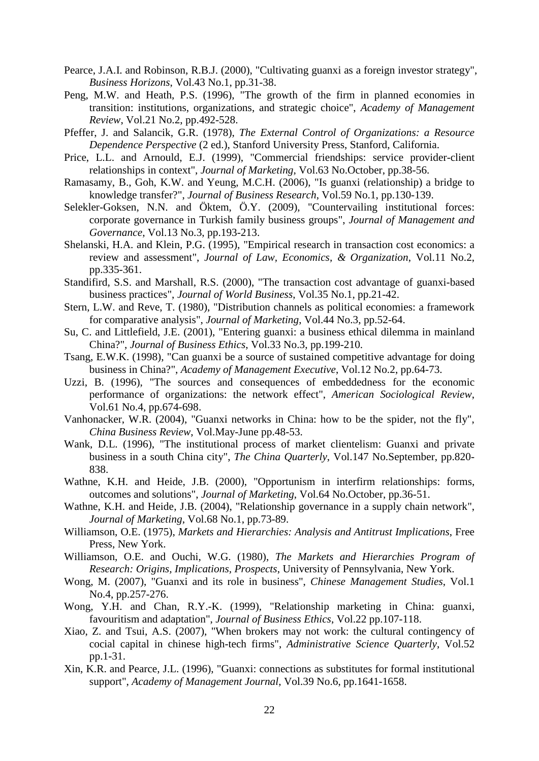- Pearce, J.A.I. and Robinson, R.B.J. (2000), "Cultivating guanxi as a foreign investor strategy", *Business Horizons*, Vol.43 No.1, pp.31-38.
- Peng, M.W. and Heath, P.S. (1996), "The growth of the firm in planned economies in transition: institutions, organizations, and strategic choice", *Academy of Management Review*, Vol.21 No.2, pp.492-528.
- Pfeffer, J. and Salancik, G.R. (1978), *The External Control of Organizations: a Resource Dependence Perspective* (2 ed.), Stanford University Press, Stanford, California.
- Price, L.L. and Arnould, E.J. (1999), "Commercial friendships: service provider-client relationships in context", *Journal of Marketing*, Vol.63 No.October, pp.38-56.
- Ramasamy, B., Goh, K.W. and Yeung, M.C.H. (2006), "Is guanxi (relationship) a bridge to knowledge transfer?", *Journal of Business Research*, Vol.59 No.1, pp.130-139.
- Selekler-Goksen, N.N. and Öktem, Ö.Y. (2009), "Countervailing institutional forces: corporate governance in Turkish family business groups", *Journal of Management and Governance*, Vol.13 No.3, pp.193-213.
- Shelanski, H.A. and Klein, P.G. (1995), "Empirical research in transaction cost economics: a review and assessment", *Journal of Law, Economics, & Organization*, Vol.11 No.2, pp.335-361.
- Standifird, S.S. and Marshall, R.S. (2000), "The transaction cost advantage of guanxi-based business practices", *Journal of World Business*, Vol.35 No.1, pp.21-42.
- Stern, L.W. and Reve, T. (1980), "Distribution channels as political economies: a framework for comparative analysis", *Journal of Marketing*, Vol.44 No.3, pp.52-64.
- Su, C. and Littlefield, J.E. (2001), "Entering guanxi: a business ethical dilemma in mainland China?", *Journal of Business Ethics*, Vol.33 No.3, pp.199-210.
- Tsang, E.W.K. (1998), "Can guanxi be a source of sustained competitive advantage for doing business in China?", *Academy of Management Executive*, Vol.12 No.2, pp.64-73.
- Uzzi, B. (1996), "The sources and consequences of embeddedness for the economic performance of organizations: the network effect", *American Sociological Review*, Vol.61 No.4, pp.674-698.
- Vanhonacker, W.R. (2004), "Guanxi networks in China: how to be the spider, not the fly", *China Business Review*, Vol.May-June pp.48-53.
- Wank, D.L. (1996), "The institutional process of market clientelism: Guanxi and private business in a south China city", *The China Quarterly*, Vol.147 No.September, pp.820- 838.
- Wathne, K.H. and Heide, J.B. (2000), "Opportunism in interfirm relationships: forms, outcomes and solutions", *Journal of Marketing*, Vol.64 No.October, pp.36-51.
- Wathne, K.H. and Heide, J.B. (2004), "Relationship governance in a supply chain network", *Journal of Marketing*, Vol.68 No.1, pp.73-89.
- Williamson, O.E. (1975), *Markets and Hierarchies: Analysis and Antitrust Implications*, Free Press, New York.
- Williamson, O.E. and Ouchi, W.G. (1980), *The Markets and Hierarchies Program of Research: Origins, Implications, Prospects*, University of Pennsylvania, New York.
- Wong, M. (2007), "Guanxi and its role in business", *Chinese Management Studies*, Vol.1 No.4, pp.257-276.
- Wong, Y.H. and Chan, R.Y.-K. (1999), "Relationship marketing in China: guanxi, favouritism and adaptation", *Journal of Business Ethics*, Vol.22 pp.107-118.
- Xiao, Z. and Tsui, A.S. (2007), "When brokers may not work: the cultural contingency of cocial capital in chinese high-tech firms", *Administrative Science Quarterly*, Vol.52 pp.1-31.
- Xin, K.R. and Pearce, J.L. (1996), "Guanxi: connections as substitutes for formal institutional support", *Academy of Management Journal*, Vol.39 No.6, pp.1641-1658.